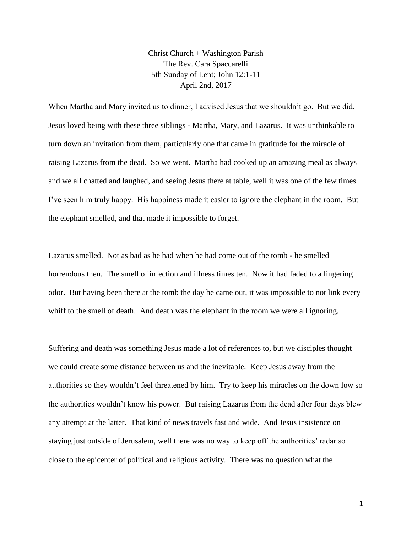Christ Church + Washington Parish The Rev. Cara Spaccarelli 5th Sunday of Lent; John 12:1-11 April 2nd, 2017

When Martha and Mary invited us to dinner, I advised Jesus that we shouldn't go. But we did. Jesus loved being with these three siblings - Martha, Mary, and Lazarus. It was unthinkable to turn down an invitation from them, particularly one that came in gratitude for the miracle of raising Lazarus from the dead. So we went. Martha had cooked up an amazing meal as always and we all chatted and laughed, and seeing Jesus there at table, well it was one of the few times I've seen him truly happy. His happiness made it easier to ignore the elephant in the room. But the elephant smelled, and that made it impossible to forget.

Lazarus smelled. Not as bad as he had when he had come out of the tomb - he smelled horrendous then. The smell of infection and illness times ten. Now it had faded to a lingering odor. But having been there at the tomb the day he came out, it was impossible to not link every whiff to the smell of death. And death was the elephant in the room we were all ignoring.

Suffering and death was something Jesus made a lot of references to, but we disciples thought we could create some distance between us and the inevitable. Keep Jesus away from the authorities so they wouldn't feel threatened by him. Try to keep his miracles on the down low so the authorities wouldn't know his power. But raising Lazarus from the dead after four days blew any attempt at the latter. That kind of news travels fast and wide. And Jesus insistence on staying just outside of Jerusalem, well there was no way to keep off the authorities' radar so close to the epicenter of political and religious activity. There was no question what the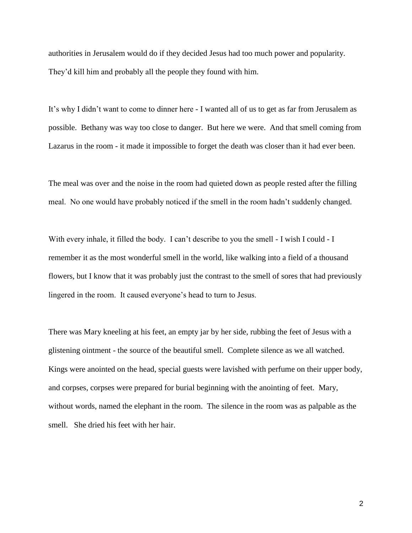authorities in Jerusalem would do if they decided Jesus had too much power and popularity. They'd kill him and probably all the people they found with him.

It's why I didn't want to come to dinner here - I wanted all of us to get as far from Jerusalem as possible. Bethany was way too close to danger. But here we were. And that smell coming from Lazarus in the room - it made it impossible to forget the death was closer than it had ever been.

The meal was over and the noise in the room had quieted down as people rested after the filling meal. No one would have probably noticed if the smell in the room hadn't suddenly changed.

With every inhale, it filled the body. I can't describe to you the smell - I wish I could - I remember it as the most wonderful smell in the world, like walking into a field of a thousand flowers, but I know that it was probably just the contrast to the smell of sores that had previously lingered in the room. It caused everyone's head to turn to Jesus.

There was Mary kneeling at his feet, an empty jar by her side, rubbing the feet of Jesus with a glistening ointment - the source of the beautiful smell. Complete silence as we all watched. Kings were anointed on the head, special guests were lavished with perfume on their upper body, and corpses, corpses were prepared for burial beginning with the anointing of feet. Mary, without words, named the elephant in the room. The silence in the room was as palpable as the smell. She dried his feet with her hair.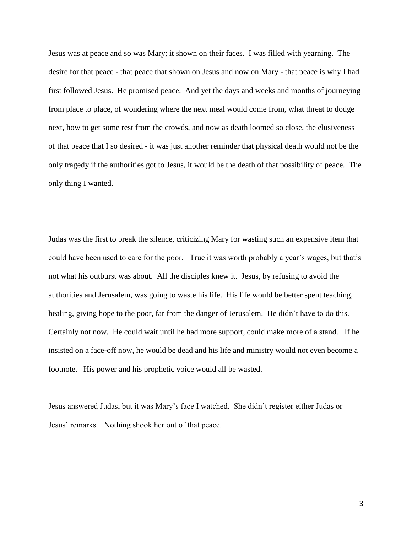Jesus was at peace and so was Mary; it shown on their faces. I was filled with yearning. The desire for that peace - that peace that shown on Jesus and now on Mary - that peace is why I had first followed Jesus. He promised peace. And yet the days and weeks and months of journeying from place to place, of wondering where the next meal would come from, what threat to dodge next, how to get some rest from the crowds, and now as death loomed so close, the elusiveness of that peace that I so desired - it was just another reminder that physical death would not be the only tragedy if the authorities got to Jesus, it would be the death of that possibility of peace. The only thing I wanted.

Judas was the first to break the silence, criticizing Mary for wasting such an expensive item that could have been used to care for the poor. True it was worth probably a year's wages, but that's not what his outburst was about. All the disciples knew it. Jesus, by refusing to avoid the authorities and Jerusalem, was going to waste his life. His life would be better spent teaching, healing, giving hope to the poor, far from the danger of Jerusalem. He didn't have to do this. Certainly not now. He could wait until he had more support, could make more of a stand. If he insisted on a face-off now, he would be dead and his life and ministry would not even become a footnote. His power and his prophetic voice would all be wasted.

Jesus answered Judas, but it was Mary's face I watched. She didn't register either Judas or Jesus' remarks. Nothing shook her out of that peace.